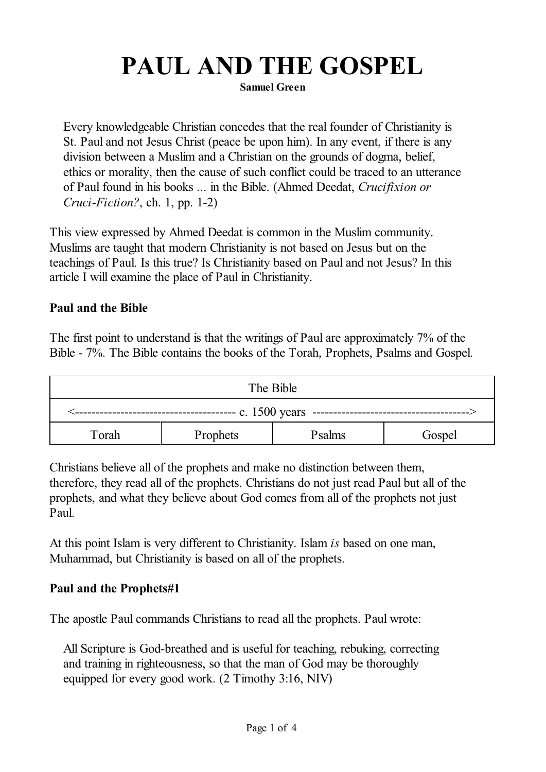# **PAUL AND THE GOSPEL**

**Samuel Green**

Every knowledgeable Christian concedes that the real founder of Christianity is St. Paul and not Jesus Christ (peace be upon him). In any event, if there is any division between a Muslim and a Christian on the grounds of dogma, belief, ethics or morality, then the cause of such conflict could be traced to an utterance of Paul found in his books ... in the Bible. (Ahmed Deedat, *Crucifixion or Cruci-Fiction?*, ch. 1, pp. 1-2)

This view expressed by Ahmed Deedat is common in the Muslim community. Muslims are taught that modern Christianity is not based on Jesus but on the teachings of Paul. Is this true? Is Christianity based on Paul and not Jesus? In this article I will examine the place of Paul in Christianity.

#### **Paul and the Bible**

The first point to understand is that the writings of Paul are approximately 7% of the Bible - 7%. The Bible contains the books of the Torah, Prophets, Psalms and Gospel.

| The Bible                  |          |        |        |  |  |  |
|----------------------------|----------|--------|--------|--|--|--|
| c. $1500$ years<br>------- |          |        |        |  |  |  |
| Torah                      | Prophets | Psalms | Gospel |  |  |  |

Christians believe all of the prophets and make no distinction between them, therefore, they read all of the prophets. Christians do not just read Paul but all of the prophets, and what they believe about God comes from all of the prophets not just Paul.

At this point Islam is very different to Christianity. Islam *is* based on one man, Muhammad, but Christianity is based on all of the prophets.

#### **Paul and the Prophets#1**

The apostle Paul commands Christians to read all the prophets. Paul wrote:

All Scripture is God-breathed and is useful for teaching, rebuking, correcting and training in righteousness, so that the man of God may be thoroughly equipped for every good work. (2 Timothy 3:16, NIV)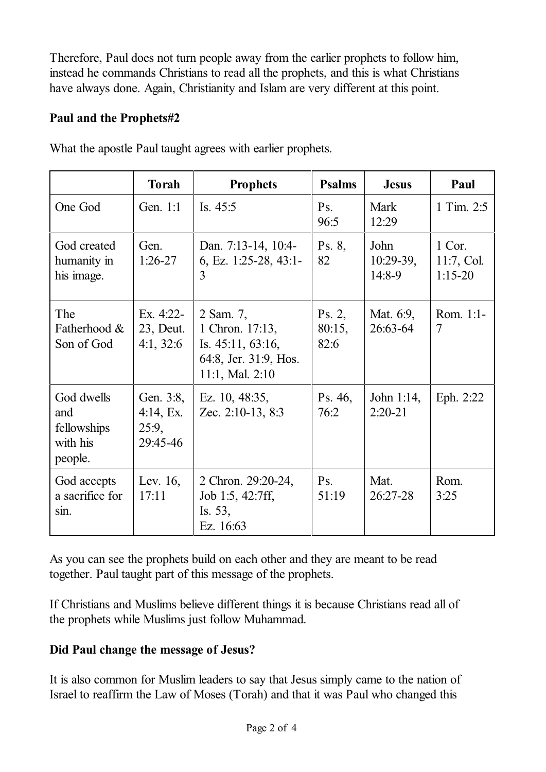Therefore, Paul does not turn people away from the earlier prophets to follow him, instead he commands Christians to read all the prophets, and this is what Christians have always done. Again, Christianity and Islam are very different at this point.

## **Paul and the Prophets#2**

|                                                         | <b>Torah</b>                                            | <b>Prophets</b>                                                                               | <b>Psalms</b>            | <b>Jesus</b>                   | Paul                              |
|---------------------------------------------------------|---------------------------------------------------------|-----------------------------------------------------------------------------------------------|--------------------------|--------------------------------|-----------------------------------|
| One God                                                 | Gen. 1:1                                                | Is. 45:5                                                                                      | Ps.<br>96:5              | Mark<br>12:29                  | 1 Tim. 2:5                        |
| God created<br>humanity in<br>his image.                | Gen.<br>$1:26-27$                                       | Dan. 7:13-14, 10:4-<br>6, Ez. 1:25-28, 43:1-<br>3                                             | Ps. 8,<br>82             | John<br>$10:29-39$ ,<br>14:8-9 | 1 Cor.<br>11:7, Col.<br>$1:15-20$ |
| The<br>Fatherhood &<br>Son of God                       | Ex. 4:22-<br>23, Deut.<br>4:1, 32:6                     | 2 Sam. 7,<br>1 Chron. 17:13,<br>Is. 45:11, 63:16,<br>64:8, Jer. 31:9, Hos.<br>11:1, Mal. 2:10 | Ps. 2,<br>80:15,<br>82:6 | Mat. 6:9,<br>26:63-64          | Rom. 1:1-<br>$\overline{7}$       |
| God dwells<br>and<br>fellowships<br>with his<br>people. | Gen. 3:8,<br>$4:14, \mathrm{Ex}$ .<br>25:9,<br>29:45-46 | Ez. 10, 48:35,<br>Zec. 2:10-13, 8:3                                                           | Ps. 46,<br>76:2          | John $1:14$ ,<br>$2:20-21$     | Eph. 2:22                         |
| God accepts<br>a sacrifice for<br>sin.                  | Lev. 16,<br>17:11                                       | 2 Chron. 29:20-24,<br>Job 1:5, 42:7ff,<br>Is. 53,<br>Ez. 16:63                                | Ps.<br>51:19             | Mat.<br>26:27-28               | Rom.<br>3:25                      |

What the apostle Paul taught agrees with earlier prophets.

As you can see the prophets build on each other and they are meant to be read together. Paul taught part of this message of the prophets.

If Christians and Muslims believe different things it is because Christians read all of the prophets while Muslims just follow Muhammad.

# **Did Paul change the message of Jesus?**

It is also common for Muslim leaders to say that Jesus simply came to the nation of Israel to reaffirm the Law of Moses (Torah) and that it was Paul who changed this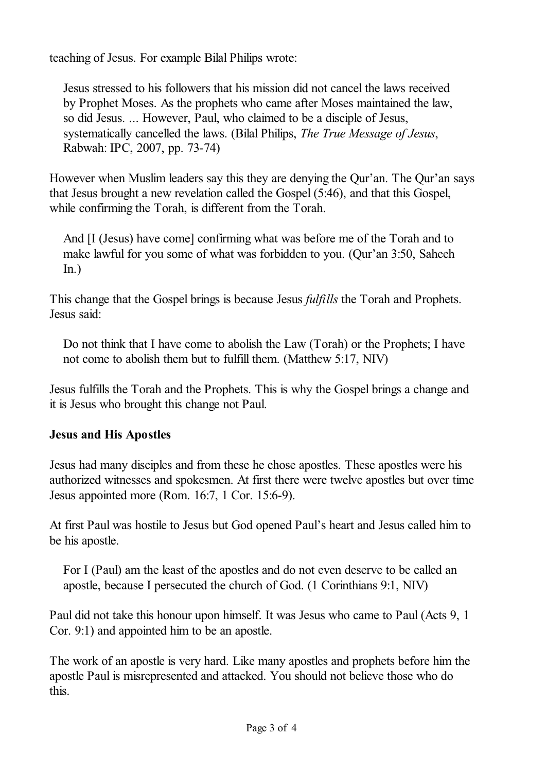teaching of Jesus. For example Bilal Philips wrote:

Jesus stressed to his followers that his mission did not cancel the laws received by Prophet Moses. As the prophets who came after Moses maintained the law, so did Jesus. ... However, Paul, who claimed to be a disciple of Jesus, systematically cancelled the laws. (Bilal Philips, *The True Message of Jesus*, Rabwah: IPC, 2007, pp. 73-74)

However when Muslim leaders say this they are denying the Qur'an. The Qur'an says that Jesus brought a new revelation called the Gospel (5:46), and that this Gospel, while confirming the Torah, is different from the Torah.

And [I (Jesus) have come] confirming what was before me of the Torah and to make lawful for you some of what was forbidden to you. (Qur'an 3:50, Saheeh  $In.)$ 

This change that the Gospel brings is because Jesus *fulfills* the Torah and Prophets. Jesus said:

Do not think that I have come to abolish the Law (Torah) or the Prophets; I have not come to abolish them but to fulfill them. (Matthew 5:17, NIV)

Jesus fulfills the Torah and the Prophets. This is why the Gospel brings a change and it is Jesus who brought this change not Paul.

# **Jesus and His Apostles**

Jesus had many disciples and from these he chose apostles. These apostles were his authorized witnesses and spokesmen. At first there were twelve apostles but over time Jesus appointed more (Rom. 16:7, 1 Cor. 15:6-9).

At first Paul was hostile to Jesus but God opened Paul's heart and Jesus called him to be his apostle.

For I (Paul) am the least of the apostles and do not even deserve to be called an apostle, because I persecuted the church of God. (1 Corinthians 9:1, NIV)

Paul did not take this honour upon himself. It was Jesus who came to Paul (Acts 9, 1 Cor. 9:1) and appointed him to be an apostle.

The work of an apostle is very hard. Like many apostles and prophets before him the apostle Paul is misrepresented and attacked. You should not believe those who do this.